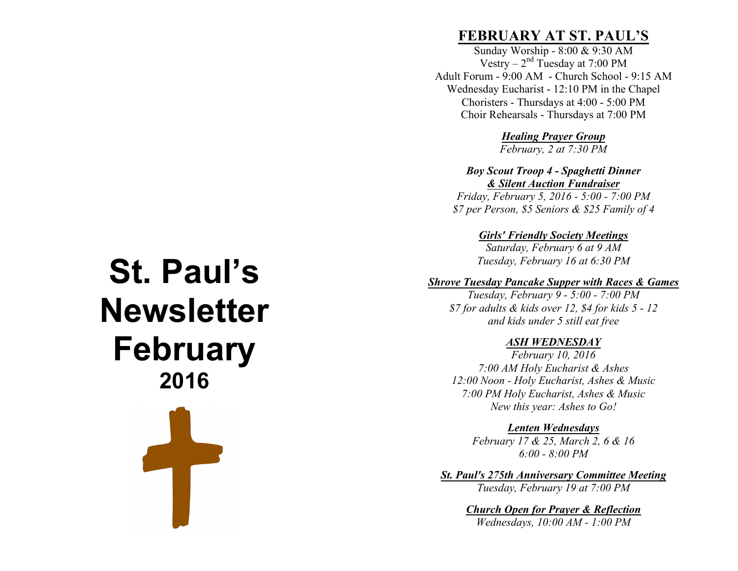# **St. Paul's Newsletter February 2016** Ŧ

# **FEBRUARY AT ST. PAUL'S**

Sunday Worship - 8:00 & 9:30 AM Vestry –  $2<sup>nd</sup>$  Tuesday at 7:00 PM Adult Forum - 9:00 AM - Church School - 9:15 AM Wednesday Eucharist - 12:10 PM in the Chapel Choristers - Thursdays at 4:00 - 5:00 PM Choir Rehearsals - Thursdays at 7:00 PM

*Healing Prayer Group*

*February, 2 at 7:30 PM*

*Boy Scout Troop 4 - Spaghetti Dinner & Silent Auction Fundraiser*

*Friday, February 5, 2016 - 5:00 - 7:00 PM \$7 per Person, \$5 Seniors & \$25 Family of 4* 

*Girls' Friendly Society Meetings*

*Saturday, February 6 at 9 AM Tuesday, February 16 at 6:30 PM*

#### *Shrove Tuesday Pancake Supper with Races & Games*

*Tuesday, February 9 - 5:00 - 7:00 PM \$7 for adults & kids over 12, \$4 for kids 5 - 12 and kids under 5 still eat free*

#### *ASH WEDNESDAY*

*February 10, 2016 7:00 AM Holy Eucharist & Ashes 12:00 Noon - Holy Eucharist, Ashes & Music 7:00 PM Holy Eucharist, Ashes & Music New this year: Ashes to Go!*

*Lenten Wednesdays*

*February 17 & 25, March 2, 6 & 16 6:00 - 8:00 PM*

*St. Paul's 275th Anniversary Committee Meeting Tuesday, February 19 at 7:00 PM*

> *Church Open for Prayer & Reflection Wednesdays, 10:00 AM - 1:00 PM*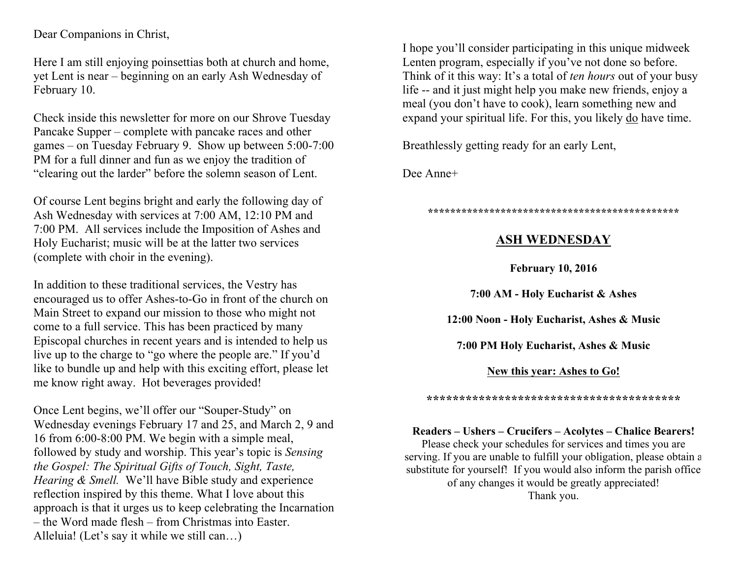Dear Companions in Christ,

Here I am still enjoying poinsettias both at church and home, yet Lent is near – beginning on an early Ash Wednesday of February 10.

Check inside this newsletter for more on our Shrove Tuesday Pancake Supper – complete with pancake races and other games – on Tuesday February 9. Show up between 5:00-7:00 PM for a full dinner and fun as we enjoy the tradition of "clearing out the larder" before the solemn season of Lent.

Of course Lent begins bright and early the following day of Ash Wednesday with services at 7:00 AM, 12:10 PM and 7:00 PM. All services include the Imposition of Ashes and Holy Eucharist; music will be at the latter two services (complete with choir in the evening).

In addition to these traditional services, the Vestry has encouraged us to offer Ashes-to-Go in front of the church on Main Street to expand our mission to those who might not come to a full service. This has been practiced by many Episcopal churches in recent years and is intended to help us live up to the charge to "go where the people are." If you'd like to bundle up and help with this exciting effort, please let me know right away. Hot beverages provided!

Once Lent begins, we'll offer our "Souper-Study" on Wednesday evenings February 17 and 25, and March 2, 9 and 16 from 6:00-8:00 PM. We begin with a simple meal, followed by study and worship. This year's topic is *Sensing the Gospel: The Spiritual Gifts of Touch, Sight, Taste, Hearing & Smell.* We'll have Bible study and experience reflection inspired by this theme. What I love about this approach is that it urges us to keep celebrating the Incarnation – the Word made flesh – from Christmas into Easter. Alleluia! (Let's say it while we still can…)

I hope you'll consider participating in this unique midweek Lenten program, especially if you've not done so before. Think of it this way: It's a total of *ten hours* out of your busy life -- and it just might help you make new friends, enjoy a meal (you don't have to cook), learn something new and expand your spiritual life. For this, you likely do have time.

Breathlessly getting ready for an early Lent,

Dee Anne+

**\*\*\*\*\*\*\*\*\*\*\*\*\*\*\*\*\*\*\*\*\*\*\*\*\*\*\*\*\*\*\*\*\*\*\*\*\*\*\*\*\*\*\*\*\***

### **ASH WEDNESDAY**

**February 10, 2016**

**7:00 AM - Holy Eucharist & Ashes**

**12:00 Noon - Holy Eucharist, Ashes & Music**

**7:00 PM Holy Eucharist, Ashes & Music**

**New this year: Ashes to Go!**

**\*\*\*\*\*\*\*\*\*\*\*\*\*\*\*\*\*\*\*\*\*\*\*\*\*\*\*\*\*\*\*\*\*\*\*\*\*\*\***

**Readers – Ushers – Crucifers – Acolytes – Chalice Bearers!**

Please check your schedules for services and times you are serving. If you are unable to fulfill your obligation, please obtain a substitute for yourself! If you would also inform the parish office of any changes it would be greatly appreciated! Thank you.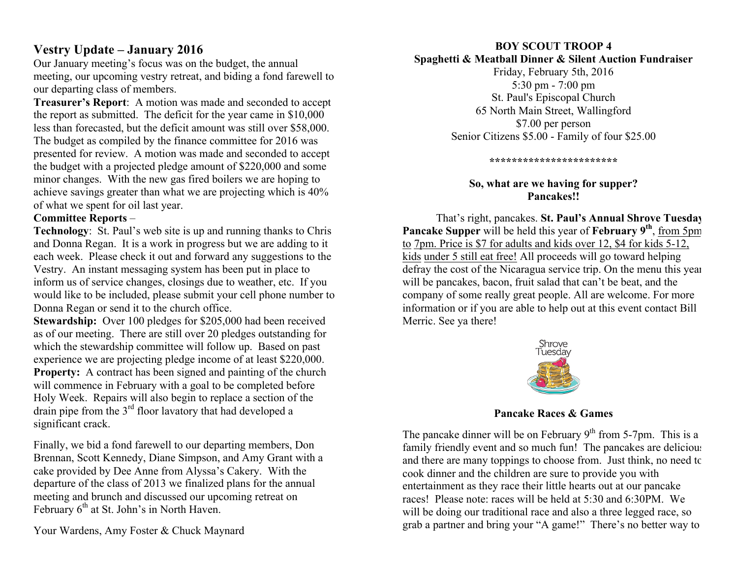# **Vestry Update – January 2016**

Our January meeting's focus was on the budget, the annual meeting, our upcoming vestry retreat, and biding a fond farewell to our departing class of members.

**Treasurer's Report**: A motion was made and seconded to accept the report as submitted. The deficit for the year came in \$10,000 less than forecasted, but the deficit amount was still over \$58,000. The budget as compiled by the finance committee for 2016 was presented for review. A motion was made and seconded to accept the budget with a projected pledge amount of \$220,000 and some minor changes. With the new gas fired boilers we are hoping to achieve savings greater than what we are projecting which is 40% of what we spent for oil last year.

#### **Committee Reports** –

**Technology**: St. Paul's web site is up and running thanks to Chris and Donna Regan. It is a work in progress but we are adding to it each week. Please check it out and forward any suggestions to the Vestry. An instant messaging system has been put in place to inform us of service changes, closings due to weather, etc. If you would like to be included, please submit your cell phone number to Donna Regan or send it to the church office.

**Stewardship:** Over 100 pledges for \$205,000 had been received as of our meeting. There are still over 20 pledges outstanding for which the stewardship committee will follow up. Based on past experience we are projecting pledge income of at least \$220,000. **Property:** A contract has been signed and painting of the church will commence in February with a goal to be completed before Holy Week. Repairs will also begin to replace a section of the drain pipe from the 3rd floor lavatory that had developed a significant crack.

Finally, we bid a fond farewell to our departing members, Don Brennan, Scott Kennedy, Diane Simpson, and Amy Grant with a cake provided by Dee Anne from Alyssa's Cakery. With the departure of the class of 2013 we finalized plans for the annual meeting and brunch and discussed our upcoming retreat on February  $6<sup>th</sup>$  at St. John's in North Haven.

Your Wardens, Amy Foster & Chuck Maynard

# **BOY SCOUT TROOP 4**

**Spaghetti & Meatball Dinner & Silent Auction Fundraiser** Friday, February 5th, 2016

5:30 pm - 7:00 pm St. Paul's Episcopal Church 65 North Main Street, Wallingford \$7.00 per person Senior Citizens \$5.00 - Family of four \$25.00

**\*\*\*\*\*\*\*\*\*\*\*\*\*\*\*\*\*\*\*\*\*\*\***

#### **So, what are we having for supper? Pancakes!!**

That's right, pancakes. **St. Paul's Annual Shrove Tuesday Pancake Supper** will be held this year of **February 9th**, from 5pm to 7pm. Price is \$7 for adults and kids over 12, \$4 for kids 5-12, kids under 5 still eat free! All proceeds will go toward helping defray the cost of the Nicaragua service trip. On the menu this year will be pancakes, bacon, fruit salad that can't be beat, and the company of some really great people. All are welcome. For more information or if you are able to help out at this event contact Bill Merric. See ya there!



**Pancake Races & Games**

The pancake dinner will be on February  $9<sup>th</sup>$  from 5-7pm. This is a family friendly event and so much fun! The pancakes are delicious and there are many toppings to choose from. Just think, no need to cook dinner and the children are sure to provide you with entertainment as they race their little hearts out at our pancake races! Please note: races will be held at 5:30 and 6:30PM. We will be doing our traditional race and also a three legged race, so grab a partner and bring your "A game!" There's no better way to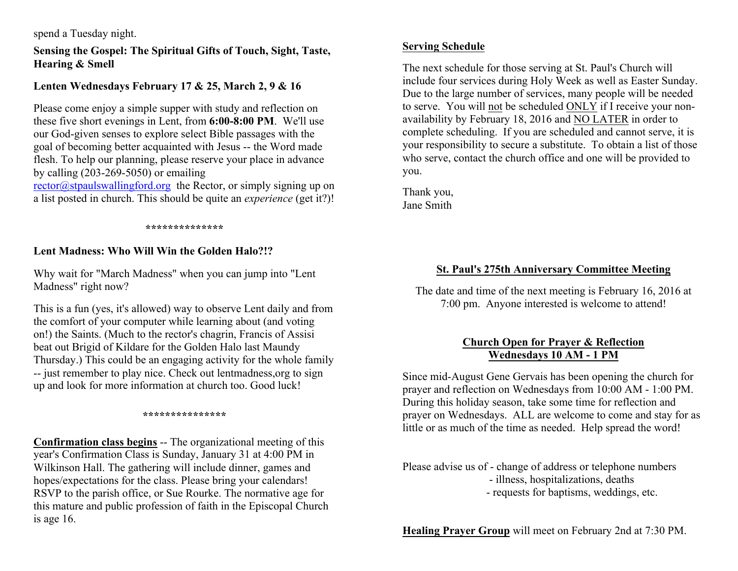#### spend a Tuesday night.

**Sensing the Gospel: The Spiritual Gifts of Touch, Sight, Taste, Hearing & Smell**

#### **Lenten Wednesdays February 17 & 25, March 2, 9 & 16**

Please come enjoy a simple supper with study and reflection on these five short evenings in Lent, from **6:00-8:00 PM**. We'll use our God-given senses to explore select Bible passages with the goal of becoming better acquainted with Jesus -- the Word made flesh. To help our planning, please reserve your place in advance by calling (203-269-5050) or emailing

rector@stpaulswallingford.org the Rector, or simply signing up on a list posted in church. This should be quite an *experience* (get it?)!

#### **\*\*\*\*\*\*\*\*\*\*\*\*\*\***

#### **Lent Madness: Who Will Win the Golden Halo?!?**

Why wait for "March Madness" when you can jump into "Lent Madness" right now?

This is a fun (yes, it's allowed) way to observe Lent daily and from the comfort of your computer while learning about (and voting on!) the Saints. (Much to the rector's chagrin, Francis of Assisi beat out Brigid of Kildare for the Golden Halo last Maundy Thursday.) This could be an engaging activity for the whole family -- just remember to play nice. Check out lentmadness,org to sign up and look for more information at church too. Good luck!

#### **\*\*\*\*\*\*\*\*\*\*\*\*\*\*\***

**Confirmation class begins** -- The organizational meeting of this year's Confirmation Class is Sunday, January 31 at 4:00 PM in Wilkinson Hall. The gathering will include dinner, games and hopes/expectations for the class. Please bring your calendars! RSVP to the parish office, or Sue Rourke. The normative age for this mature and public profession of faith in the Episcopal Church is age 16.

#### **Serving Schedule**

The next schedule for those serving at St. Paul's Church will include four services during Holy Week as well as Easter Sunday. Due to the large number of services, many people will be needed to serve. You will not be scheduled ONLY if I receive your nonavailability by February 18, 2016 and NO LATER in order to complete scheduling. If you are scheduled and cannot serve, it is your responsibility to secure a substitute. To obtain a list of those who serve, contact the church office and one will be provided to you.

Thank you, Jane Smith

#### **St. Paul's 275th Anniversary Committee Meeting**

The date and time of the next meeting is February 16, 2016 at 7:00 pm. Anyone interested is welcome to attend!

#### **Church Open for Prayer & Reflection Wednesdays 10 AM - 1 PM**

Since mid-August Gene Gervais has been opening the church for prayer and reflection on Wednesdays from 10:00 AM - 1:00 PM. During this holiday season, take some time for reflection and prayer on Wednesdays. ALL are welcome to come and stay for as little or as much of the time as needed. Help spread the word!

Please advise us of - change of address or telephone numbers - illness, hospitalizations, deaths - requests for baptisms, weddings, etc.

**Healing Prayer Group** will meet on February 2nd at 7:30 PM.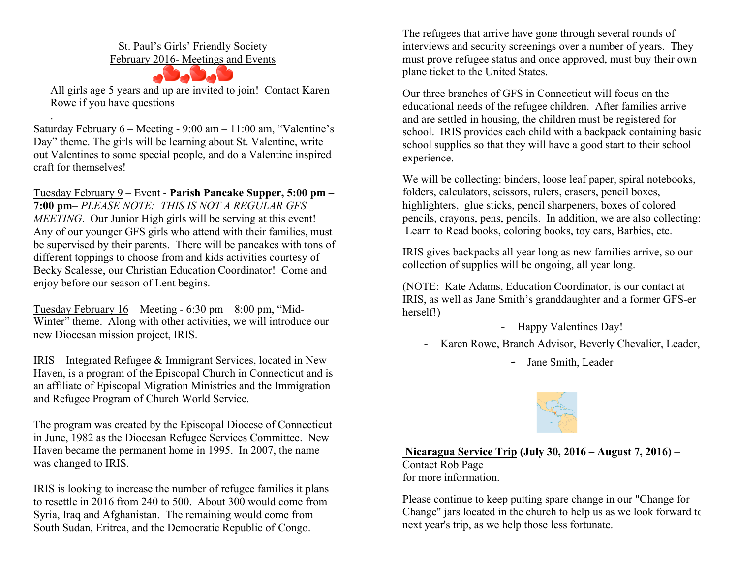St. Paul's Girls' Friendly Society

February 2016- Meetings and Events



All girls age 5 years and up are invited to join! Contact Karen Rowe if you have questions

Saturday February 6 – Meeting - 9:00 am – 11:00 am, "Valentine's Day" theme. The girls will be learning about St. Valentine, write out Valentines to some special people, and do a Valentine inspired craft for themselves!

.

Tuesday February 9 – Event - **Parish Pancake Supper, 5:00 pm – 7:00 pm**– *PLEASE NOTE: THIS IS NOT A REGULAR GFS MEETING*. Our Junior High girls will be serving at this event! Any of our younger GFS girls who attend with their families, must be supervised by their parents. There will be pancakes with tons of different toppings to choose from and kids activities courtesy of Becky Scalesse, our Christian Education Coordinator! Come and enjoy before our season of Lent begins.

Tuesday February 16 – Meeting - 6:30 pm – 8:00 pm, "Mid-Winter" theme. Along with other activities, we will introduce our new Diocesan mission project, IRIS.

IRIS – Integrated Refugee & Immigrant Services, located in New Haven, is a program of the Episcopal Church in Connecticut and is an affiliate of Episcopal Migration Ministries and the Immigration and Refugee Program of Church World Service.

The program was created by the Episcopal Diocese of Connecticut in June, 1982 as the Diocesan Refugee Services Committee. New Haven became the permanent home in 1995. In 2007, the name was changed to IRIS.

IRIS is looking to increase the number of refugee families it plans to resettle in 2016 from 240 to 500. About 300 would come from Syria, Iraq and Afghanistan. The remaining would come from South Sudan, Eritrea, and the Democratic Republic of Congo.

The refugees that arrive have gone through several rounds of interviews and security screenings over a number of years. They must prove refugee status and once approved, must buy their own plane ticket to the United States.

Our three branches of GFS in Connecticut will focus on the educational needs of the refugee children. After families arrive and are settled in housing, the children must be registered for school. IRIS provides each child with a backpack containing basic school supplies so that they will have a good start to their school experience.

We will be collecting: binders, loose leaf paper, spiral notebooks, folders, calculators, scissors, rulers, erasers, pencil boxes, highlighters, glue sticks, pencil sharpeners, boxes of colored pencils, crayons, pens, pencils. In addition, we are also collecting: Learn to Read books, coloring books, toy cars, Barbies, etc.

IRIS gives backpacks all year long as new families arrive, so our collection of supplies will be ongoing, all year long.

(NOTE: Kate Adams, Education Coordinator, is our contact at IRIS, as well as Jane Smith's granddaughter and a former GFS-er herself!)

- Happy Valentines Day!

- Karen Rowe, Branch Advisor, Beverly Chevalier, Leader,
	- Jane Smith, Leader



**Nicaragua Service Trip (July 30, 2016 – August 7, 2016)** – Contact Rob Page for more information.

Please continue to keep putting spare change in our "Change for Change" jars located in the church to help us as we look forward to next year's trip, as we help those less fortunate.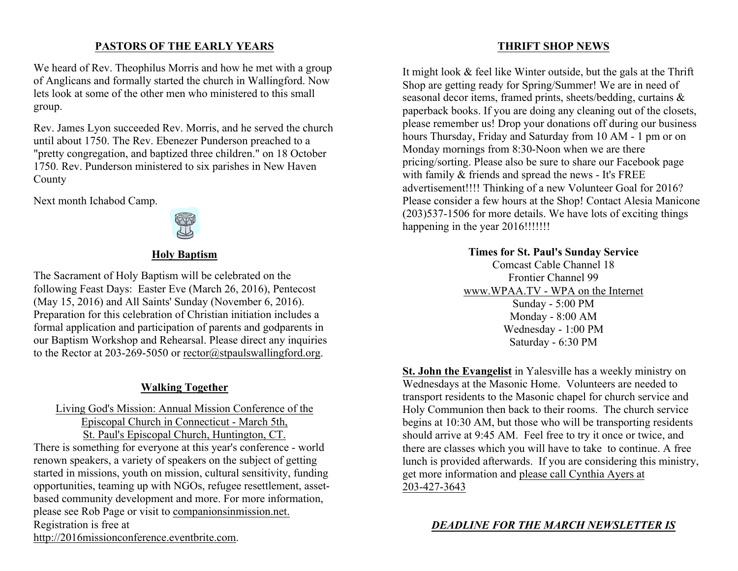#### **PASTORS OF THE EARLY YEARS**

We heard of Rev. Theophilus Morris and how he met with a group of Anglicans and formally started the church in Wallingford. Now lets look at some of the other men who ministered to this small group.

Rev. James Lyon succeeded Rev. Morris, and he served the church until about 1750. The Rev. Ebenezer Punderson preached to a "pretty congregation, and baptized three children." on 18 October 1750. Rev. Punderson ministered to six parishes in New Haven County

Next month Ichabod Camp.



#### **Holy Baptism**

The Sacrament of Holy Baptism will be celebrated on the following Feast Days: Easter Eve (March 26, 2016), Pentecost (May 15, 2016) and All Saints' Sunday (November 6, 2016). Preparation for this celebration of Christian initiation includes a formal application and participation of parents and godparents in our Baptism Workshop and Rehearsal. Please direct any inquiries to the Rector at 203-269-5050 or rector@stpaulswallingford.org.

#### **Walking Together**

#### Living God's Mission: Annual Mission Conference of the Episcopal Church in Connecticut - March 5th, St. Paul's Episcopal Church, Huntington, CT.

There is something for everyone at this year's conference - world renown speakers, a variety of speakers on the subject of getting started in missions, youth on mission, cultural sensitivity, funding opportunities, teaming up with NGOs, refugee resettlement, assetbased community development and more. For more information, please see Rob Page or visit to companionsinmission.net. Registration is free at

http://2016missionconference.eventbrite.com.

#### **THRIFT SHOP NEWS**

It might look & feel like Winter outside, but the gals at the Thrift Shop are getting ready for Spring/Summer! We are in need of seasonal decor items, framed prints, sheets/bedding, curtains & paperback books. If you are doing any cleaning out of the closets, please remember us! Drop your donations off during our business hours Thursday, Friday and Saturday from 10 AM - 1 pm or on Monday mornings from 8:30-Noon when we are there pricing/sorting. Please also be sure to share our Facebook page with family & friends and spread the news - It's FREE advertisement!!!! Thinking of a new Volunteer Goal for 2016? Please consider a few hours at the Shop! Contact Alesia Manicone (203)537-1506 for more details. We have lots of exciting things happening in the year 2016!!!!!!!!

#### **Times for St. Paul's Sunday Service**

Comcast Cable Channel 18 Frontier Channel 99 www.WPAA.TV - WPA on the Internet Sunday - 5:00 PM Monday - 8:00 AM Wednesday - 1:00 PM Saturday - 6:30 PM

**St. John the Evangelist** in Yalesville has a weekly ministry on Wednesdays at the Masonic Home. Volunteers are needed to transport residents to the Masonic chapel for church service and Holy Communion then back to their rooms. The church service begins at 10:30 AM, but those who will be transporting residents should arrive at 9:45 AM. Feel free to try it once or twice, and there are classes which you will have to take to continue. A free lunch is provided afterwards. If you are considering this ministry, get more information and please call Cynthia Ayers at 203-427-3643

*DEADLINE FOR THE MARCH NEWSLETTER IS*